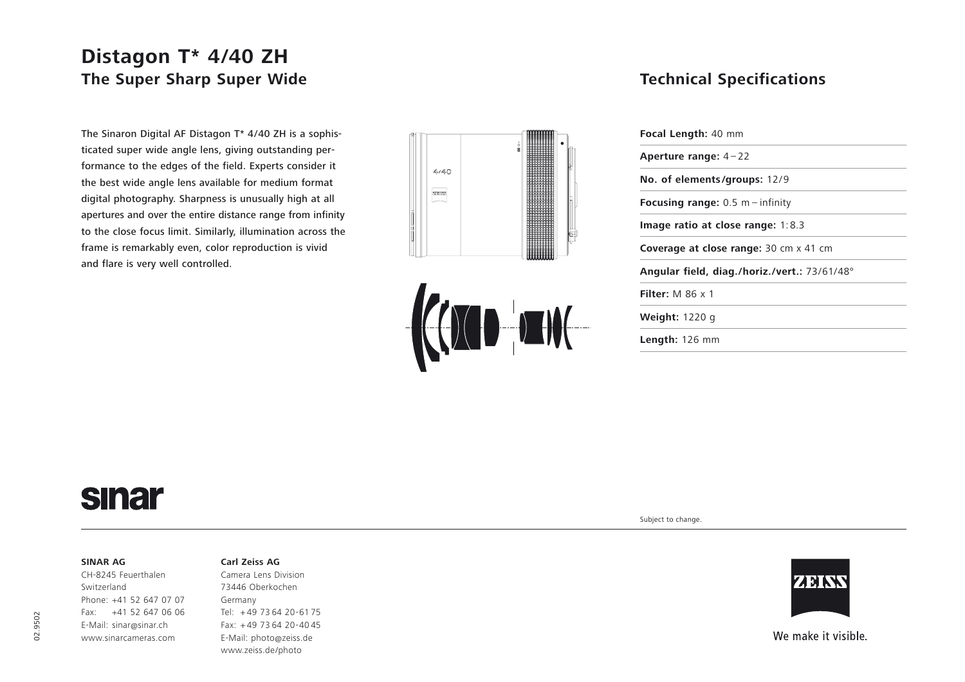## **Distagon T\* 4/40 ZH The Super Sharp Super Wide**

The Sinaron Digital AF Distagon T\* 4/40 ZH is a sophisticated super wide angle lens, giving outstanding performance to the edges of the field. Experts consider it the best wide angle lens available for medium format digital photography. Sharpness is unusually high at all apertures and over the entire distance range from infinity to the close focus limit. Similarly, illumination across the frame is remarkably even, color reproduction is vivid and flare is very well controlled.





### **Technical Specifications**

| <b>Focal Length: 40 mm</b>                    |
|-----------------------------------------------|
| Aperture range: $4-22$                        |
| No. of elements/groups: 12/9                  |
| <b>Focusing range:</b> $0.5$ m – infinity     |
| Image ratio at close range: $1:8.3$           |
| <b>Coverage at close range: 30 cm x 41 cm</b> |
| Angular field, diag./horiz./vert.: 73/61/48°  |
| Filter: $M$ 86 $\times$ 1                     |
| <b>Weight: 1220 g</b>                         |
| <b>Length:</b> $126$ mm                       |
|                                               |

# **sinar**

#### **SINAR AG**

CH-8245 Feuerthalen Switzerland Phone: +41 52 647 07 07 Fax: +41 52 647 06 06 E-Mail: sinar@sinar.ch www.sinarcameras.com

#### **Carl Zeiss AG**

Camera Lens Division 73446 Oberkochen Germany Tel: <sup>+</sup> 49 73 64 20-61 75 Fax: + 49 73 64 20-40 45 E-Mail: photo@zeiss.de www.zeiss.de/photo

Subject to change.



We make it visible.